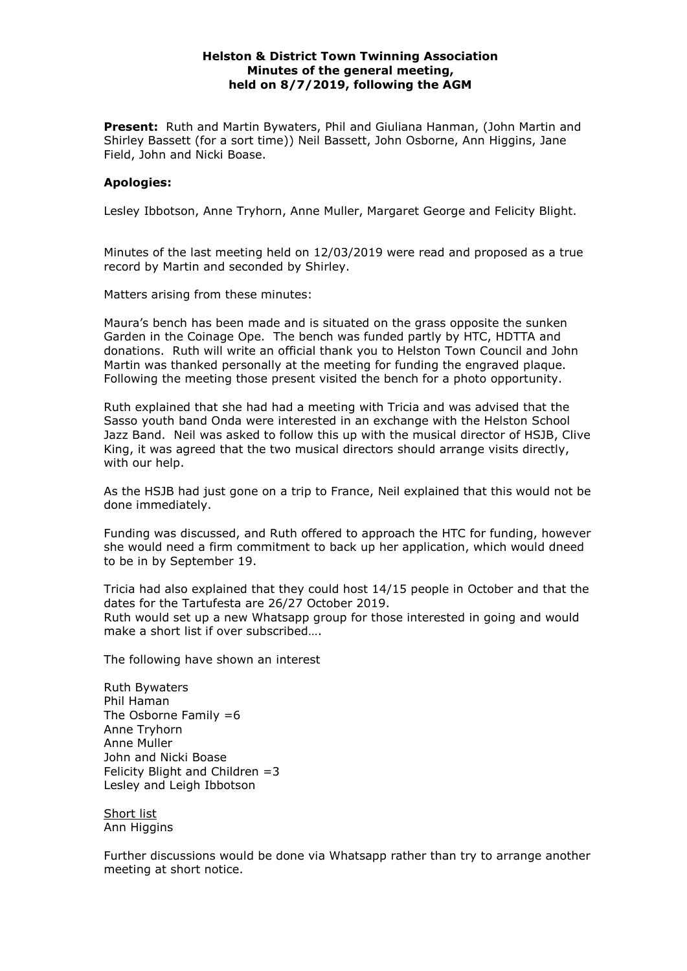## **Helston & District Town Twinning Association Minutes of the general meeting, held on 8/7/2019, following the AGM**

**Present:** Ruth and Martin Bywaters, Phil and Giuliana Hanman, (John Martin and Shirley Bassett (for a sort time)) Neil Bassett, John Osborne, Ann Higgins, Jane Field, John and Nicki Boase.

## **Apologies:**

Lesley Ibbotson, Anne Tryhorn, Anne Muller, Margaret George and Felicity Blight.

Minutes of the last meeting held on 12/03/2019 were read and proposed as a true record by Martin and seconded by Shirley.

Matters arising from these minutes:

Maura's bench has been made and is situated on the grass opposite the sunken Garden in the Coinage Ope. The bench was funded partly by HTC, HDTTA and donations. Ruth will write an official thank you to Helston Town Council and John Martin was thanked personally at the meeting for funding the engraved plaque. Following the meeting those present visited the bench for a photo opportunity.

Ruth explained that she had had a meeting with Tricia and was advised that the Sasso youth band Onda were interested in an exchange with the Helston School Jazz Band. Neil was asked to follow this up with the musical director of HSJB, Clive King, it was agreed that the two musical directors should arrange visits directly, with our help.

As the HSJB had just gone on a trip to France, Neil explained that this would not be done immediately.

Funding was discussed, and Ruth offered to approach the HTC for funding, however she would need a firm commitment to back up her application, which would dneed to be in by September 19.

Tricia had also explained that they could host 14/15 people in October and that the dates for the Tartufesta are 26/27 October 2019. Ruth would set up a new Whatsapp group for those interested in going and would make a short list if over subscribed….

The following have shown an interest

Ruth Bywaters Phil Haman The Osborne Family  $=6$ Anne Tryhorn Anne Muller John and Nicki Boase Felicity Blight and Children  $=3$ Lesley and Leigh Ibbotson

Short list Ann Higgins

Further discussions would be done via Whatsapp rather than try to arrange another meeting at short notice.